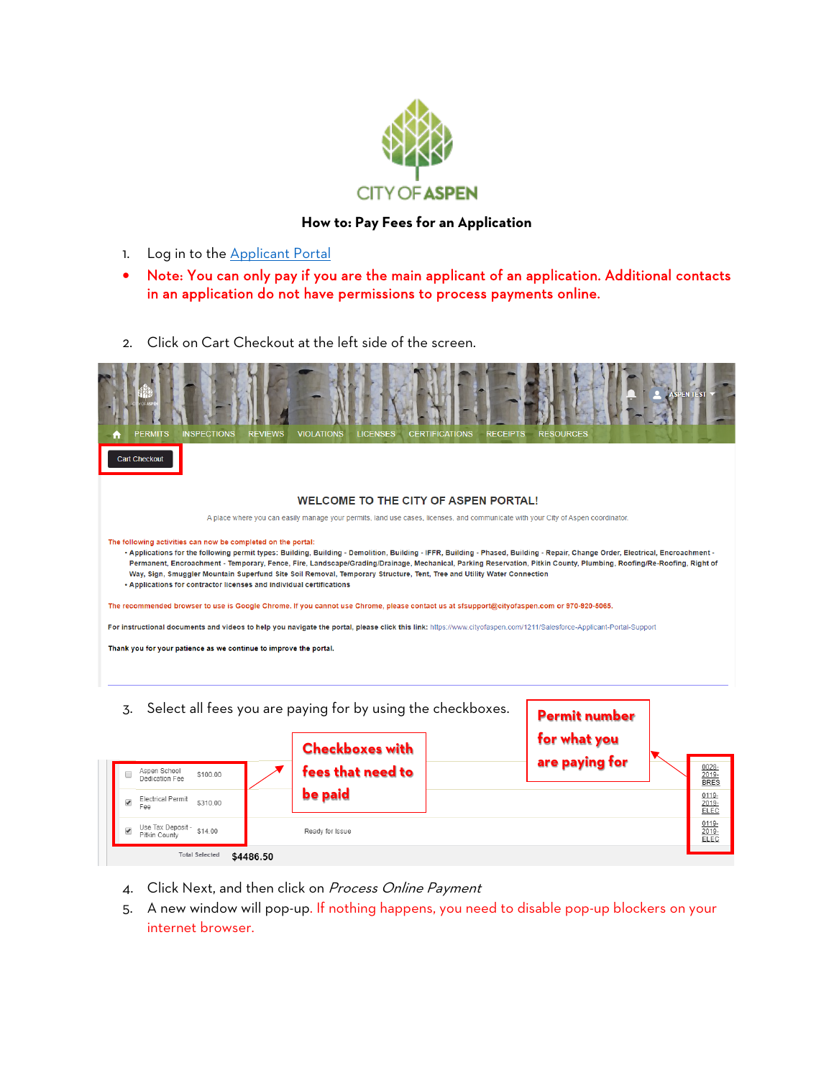

## **How to: Pay Fees for an Application**

- 1. Log in to the [Applicant Portal](https://cityofaspen.force.com/applicantportal/s/login/?startURL=%2Fapplicantportal%2Fs%2F&ec=302)
- Note: You can only pay if you are the main applicant of an application. Additional contacts in an application do not have permissions to process payments online.
- 2. Click on Cart Checkout at the left side of the screen.



- 3. Select all fees you are paying for by using the checkboxes. **Permit number for what you Checkboxes with are paying for** $\frac{\frac{0028}{2019}}{\text{BRES}}$ **fees that need to**  Aspen School<br>Dedication Fee \$100.00 **be paid**  $0119 -$ Electrical Permit \$310.00  $\blacktriangledown$  $\frac{2019}{ELEC}$ Fee Use Tax Deposit - \$14.00  $0119 -$ Ready for Issue 2019-Pitkin County **Total Selected** \$4486.50
	- 4. Click Next, and then click on Process Online Payment
	- 5. A new window will pop-up. If nothing happens, you need to disable pop-up blockers on your internet browser.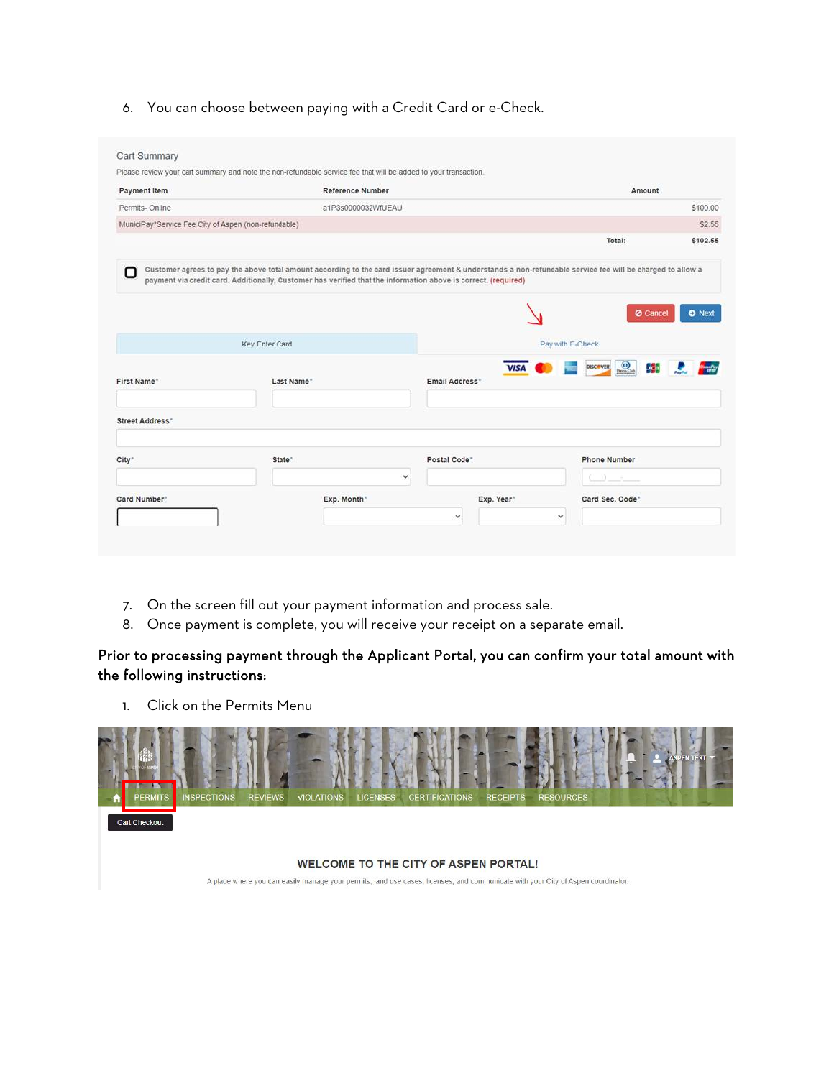6. You can choose between paying with a Credit Card or e-Check.

| <b>Payment Item</b>                                  | Reference Number                                                                                                                                                                                                                                                             |                |                  | Amount                          |          |
|------------------------------------------------------|------------------------------------------------------------------------------------------------------------------------------------------------------------------------------------------------------------------------------------------------------------------------------|----------------|------------------|---------------------------------|----------|
| Permits-Online                                       | a1P3s0000032WfUEAU                                                                                                                                                                                                                                                           |                |                  |                                 | \$100.00 |
| MuniciPay*Service Fee City of Aspen (non-refundable) |                                                                                                                                                                                                                                                                              |                |                  |                                 | \$2.55   |
|                                                      |                                                                                                                                                                                                                                                                              |                |                  | Total:                          | \$102.55 |
| п                                                    | Customer agrees to pay the above total amount according to the card issuer agreement & understands a non-refundable service fee will be charged to allow a<br>payment via credit card. Additionally, Customer has verified that the information above is correct. (required) |                |                  | <b>Ø</b> Cancel                 | O Next   |
|                                                      | Key Enter Card                                                                                                                                                                                                                                                               |                | Pay with E-Check |                                 |          |
| First Name*                                          | Last Name"                                                                                                                                                                                                                                                                   | Email Address* | <b>VISA</b>      | $\circ$<br>事<br><b>DISCOVER</b> |          |
| Street Address*                                      |                                                                                                                                                                                                                                                                              |                |                  |                                 |          |
| City <sup>*</sup>                                    | State <sup>®</sup>                                                                                                                                                                                                                                                           | Postal Code"   |                  | <b>Phone Number</b>             |          |
|                                                      | $\checkmark$                                                                                                                                                                                                                                                                 |                |                  |                                 |          |
| Card Number"                                         | Exp. Month"                                                                                                                                                                                                                                                                  | Exp. Year"     |                  | Card Sec. Code"                 |          |

- 7. On the screen fill out your payment information and process sale.
- 8. Once payment is complete, you will receive your receipt on a separate email.

## Prior to processing payment through the Applicant Portal, you can confirm your total amount with the following instructions:

1. Click on the Permits Menu



A place where you can easily manage your permits, land use cases, licenses, and communicate with your City of Aspen coordinator.